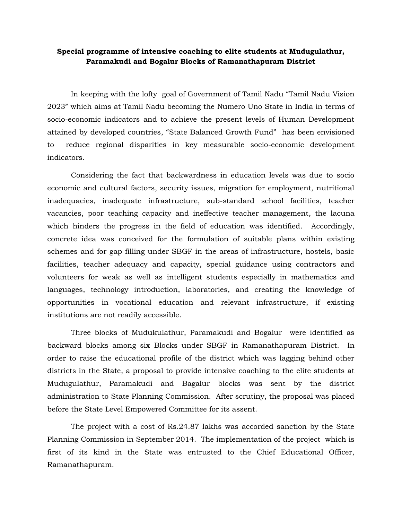## **Special programme of intensive coaching to elite students at Mudugulathur, Paramakudi and Bogalur Blocks of Ramanathapuram District**

In keeping with the lofty goal of Government of Tamil Nadu "Tamil Nadu Vision 2023" which aims at Tamil Nadu becoming the Numero Uno State in India in terms of socio-economic indicators and to achieve the present levels of Human Development attained by developed countries, "State Balanced Growth Fund" has been envisioned to reduce regional disparities in key measurable socio-economic development indicators.

Considering the fact that backwardness in education levels was due to socio economic and cultural factors, security issues, migration for employment, nutritional inadequacies, inadequate infrastructure, sub-standard school facilities, teacher vacancies, poor teaching capacity and ineffective teacher management, the lacuna which hinders the progress in the field of education was identified. Accordingly, concrete idea was conceived for the formulation of suitable plans within existing schemes and for gap filling under SBGF in the areas of infrastructure, hostels, basic facilities, teacher adequacy and capacity, special guidance using contractors and volunteers for weak as well as intelligent students especially in mathematics and languages, technology introduction, laboratories, and creating the knowledge of opportunities in vocational education and relevant infrastructure, if existing institutions are not readily accessible.

Three blocks of Mudukulathur, Paramakudi and Bogalur were identified as backward blocks among six Blocks under SBGF in Ramanathapuram District. In order to raise the educational profile of the district which was lagging behind other districts in the State, a proposal to provide intensive coaching to the elite students at Mudugulathur, Paramakudi and Bagalur blocks was sent by the district administration to State Planning Commission. After scrutiny, the proposal was placed before the State Level Empowered Committee for its assent.

The project with a cost of Rs.24.87 lakhs was accorded sanction by the State Planning Commission in September 2014. The implementation of the project which is first of its kind in the State was entrusted to the Chief Educational Officer, Ramanathapuram.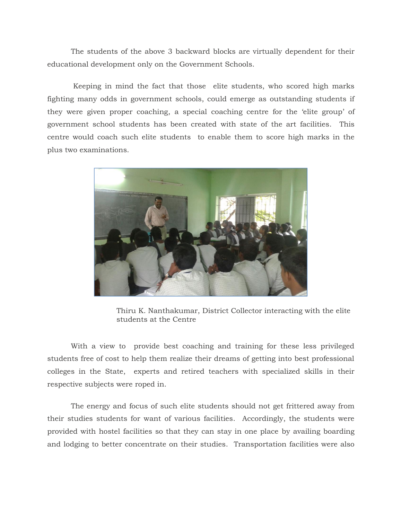The students of the above 3 backward blocks are virtually dependent for their educational development only on the Government Schools.

Keeping in mind the fact that those elite students, who scored high marks fighting many odds in government schools, could emerge as outstanding students if they were given proper coaching, a special coaching centre for the 'elite group' of government school students has been created with state of the art facilities. This centre would coach such elite students to enable them to score high marks in the plus two examinations.



 Thiru K. Nanthakumar, District Collector interacting with the elite students at the Centre

With a view to provide best coaching and training for these less privileged students free of cost to help them realize their dreams of getting into best professional colleges in the State, experts and retired teachers with specialized skills in their respective subjects were roped in.

The energy and focus of such elite students should not get frittered away from their studies students for want of various facilities. Accordingly, the students were provided with hostel facilities so that they can stay in one place by availing boarding and lodging to better concentrate on their studies. Transportation facilities were also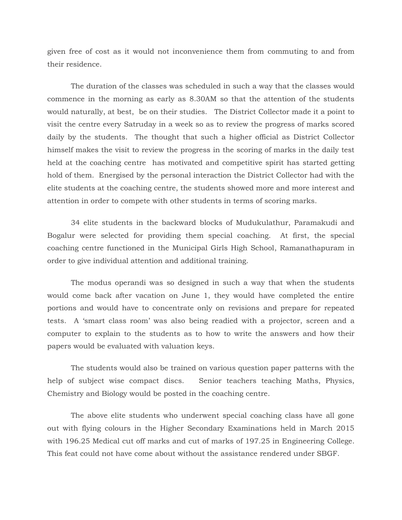given free of cost as it would not inconvenience them from commuting to and from their residence.

The duration of the classes was scheduled in such a way that the classes would commence in the morning as early as 8.30AM so that the attention of the students would naturally, at best, be on their studies. The District Collector made it a point to visit the centre every Satruday in a week so as to review the progress of marks scored daily by the students. The thought that such a higher official as District Collector himself makes the visit to review the progress in the scoring of marks in the daily test held at the coaching centre has motivated and competitive spirit has started getting hold of them. Energised by the personal interaction the District Collector had with the elite students at the coaching centre, the students showed more and more interest and attention in order to compete with other students in terms of scoring marks.

34 elite students in the backward blocks of Mudukulathur, Paramakudi and Bogalur were selected for providing them special coaching. At first, the special coaching centre functioned in the Municipal Girls High School, Ramanathapuram in order to give individual attention and additional training.

The modus operandi was so designed in such a way that when the students would come back after vacation on June 1, they would have completed the entire portions and would have to concentrate only on revisions and prepare for repeated tests. A 'smart class room' was also being readied with a projector, screen and a computer to explain to the students as to how to write the answers and how their papers would be evaluated with valuation keys.

The students would also be trained on various question paper patterns with the help of subject wise compact discs. Senior teachers teaching Maths, Physics, Chemistry and Biology would be posted in the coaching centre.

The above elite students who underwent special coaching class have all gone out with flying colours in the Higher Secondary Examinations held in March 2015 with 196.25 Medical cut off marks and cut of marks of 197.25 in Engineering College. This feat could not have come about without the assistance rendered under SBGF.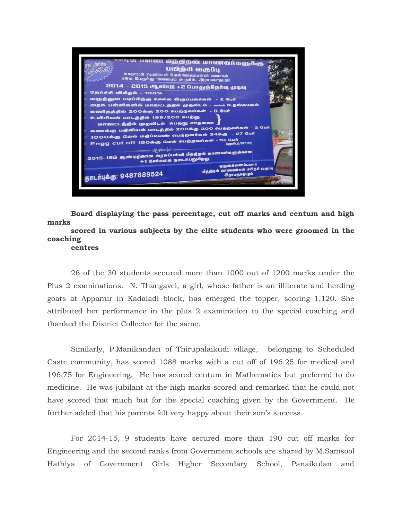

**Board displaying the pass percentage, cut off marks and centum and high marks scored in various subjects by the elite students who were groomed in the** 

## **coaching**

**centres**

26 of the 30 students secured more than 1000 out of 1200 marks under the Plus 2 examinations. N. Thangavel, a girl, whose father is an illiterate and herding goats at Appanur in Kadaladi block, has emerged the topper, scoring 1,120. She attributed her performance in the plus 2 examination to the special coaching and thanked the District Collector for the same.

Similarly, P.Manikandan of Thirupalaikudi village, belonging to Scheduled Caste community, has scored 1088 marks with a cut off of 196.25 for medical and 196.75 for Engineering. He has scored centum in Mathematics but preferred to do medicine. He was jubilant at the high marks scored and remarked that he could not have scored that much but for the special coaching given by the Government. He further added that his parents felt very happy about their son's success.

For 2014-15, 9 students have secured more than 190 cut off marks for Engineering and the second ranks from Government schools are shared by M.Samsool Hathiya of Government Girls Higher Secondary School, Panaikulan and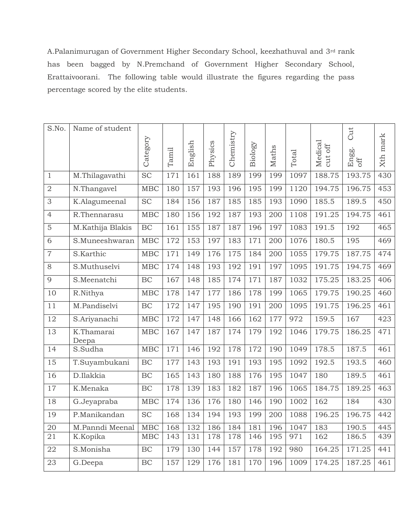A.Palanimurugan of Government Higher Secondary School, keezhathuval and 3rd rank has been bagged by N.Premchand of Government Higher Secondary School, Erattaivoorani. The following table would illustrate the figures regarding the pass percentage scored by the elite students.

| S.No.          | Name of student     |             |       |         |         |           |         |       |       |                       | Cut          |          |
|----------------|---------------------|-------------|-------|---------|---------|-----------|---------|-------|-------|-----------------------|--------------|----------|
|                |                     | Category    |       |         |         | Chemistry |         |       |       |                       |              | Xth mark |
|                |                     |             | Tamil | English | Physics |           | Biology | Maths | Total | Medical<br>$\cot$ off | Engg.<br>off |          |
|                |                     |             |       |         |         |           |         |       |       |                       |              |          |
| $\mathbf{1}$   | M.Thilagavathi      | <b>SC</b>   | 171   | 161     | 188     | 189       | 199     | 199   | 1097  | 188.75                | 193.75       | 430      |
| $\overline{2}$ | N.Thangavel         | <b>MBC</b>  | 180   | 157     | 193     | 196       | 195     | 199   | 1120  | 194.75                | 196.75       | 453      |
| 3              | K.Alagumeenal       | <b>SC</b>   | 184   | 156     | 187     | 185       | 185     | 193   | 1090  | 185.5                 | 189.5        | 450      |
| $\overline{4}$ | R.Thennarasu        | <b>MBC</b>  | 180   | 156     | 192     | 187       | 193     | 200   | 1108  | 191.25                | 194.75       | 461      |
| $\overline{5}$ | M.Kathija Blakis    | BC          | 161   | 155     | 187     | 187       | 196     | 197   | 1083  | 191.5                 | 192          | 465      |
| 6              | S.Muneeshwaran      | <b>MBC</b>  | 172   | 153     | 197     | 183       | 171     | 200   | 1076  | 180.5                 | 195          | 469      |
| $\overline{7}$ | S.Karthic           | <b>MBC</b>  | 171   | 149     | 176     | 175       | 184     | 200   | 1055  | 179.75                | 187.75       | 474      |
| 8              | S.Muthuselvi        | <b>MBC</b>  | 174   | 148     | 193     | 192       | 191     | 197   | 1095  | 191.75                | 194.75       | 469      |
| 9              | S.Meenatchi         | BC          | 167   | 148     | 185     | 174       | 171     | 187   | 1032  | 175.25                | 183.25       | 406      |
| 10             | R.Nithya            | <b>MBC</b>  | 178   | 147     | 177     | 186       | 178     | 199   | 1065  | 179.75                | 190.25       | 460      |
| 11             | M.Pandiselvi        | BC          | 172   | 147     | 195     | 190       | 191     | 200   | 1095  | 191.75                | 196.25       | 461      |
| 12             | S.Ariyanachi        | MBC         | 172   | 147     | 148     | 166       | 162     | 177   | 972   | 159.5                 | 167          | 423      |
| 13             | K.Thamarai<br>Deepa | <b>MBC</b>  | 167   | 147     | 187     | 174       | 179     | 192   | 1046  | 179.75                | 186.25       | 471      |
| 14             | S.Sudha             | <b>MBC</b>  | 171   | 146     | 192     | 178       | 172     | 190   | 1049  | 178.5                 | 187.5        | 461      |
| 15             | T.Suyambukani       | BC          | 177   | 143     | 193     | 191       | 193     | 195   | 1092  | 192.5                 | 193.5        | 460      |
| 16             | D.Ilakkia           | BC          | 165   | 143     | 180     | 188       | 176     | 195   | 1047  | 180                   | 189.5        | 461      |
| 17             | K.Menaka            | $\rm BC$    | 178   | 139     | 183     | 182       | 187     | 196   | 1065  | 184.75                | 189.25       | 463      |
| 18             | G.Jeyapraba         | <b>MBC</b>  | 174   | 136     | 176     | 180       | 146     | 190   | 1002  | 162                   | 184          | 430      |
| 19             | P.Manikandan        | <b>SC</b>   | 168   | 134     | 194     | 193       | 199     | 200   | 1088  | 196.25                | 196.75       | 442      |
| $20\,$         | M.Panndi Meenal     | MBC         | 168   | 132     | 186     | 184       | 181     | 196   | 1047  | 183                   | 190.5        | 445      |
| 21             | K.Kopika            | ${\rm MBC}$ | 143   | 131     | 178     | 178       | 146     | 195   | 971   | 162                   | 186.5        | 439      |
| 22             | S.Monisha           | $\rm BC$    | 179   | 130     | 144     | 157       | 178     | 192   | 980   | 164.25                | 171.25       | 441      |
| 23             | G.Deepa             | $\rm BC$    | 157   | 129     | 176     | 181       | 170     | 196   | 1009  | 174.25                | 187.25       | 461      |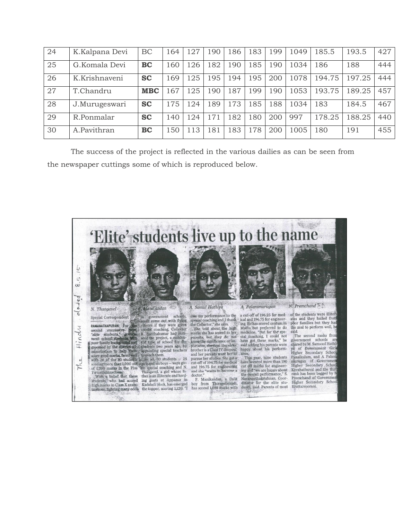| 24 | K.Kalpana Devi | BC         | 164 | 127 | .90 | .86 | 183 | .99 | 1049 | 185.5  | 193.5  | 427 |
|----|----------------|------------|-----|-----|-----|-----|-----|-----|------|--------|--------|-----|
| 25 | G.Komala Devi  | <b>BC</b>  | 160 | 126 | .82 | 190 | 185 | .90 | 1034 | 186    | 188    | 444 |
| 26 | K.Krishnaveni  | <b>SC</b>  | 169 | 125 | '95 | 194 | 195 | 200 | 1078 | 194.75 | 197.25 | 444 |
| 27 | T.Chandru      | <b>MBC</b> | .67 | 125 | .90 | 187 | 199 | .90 | 1053 | 193.75 | 189.25 | 457 |
| 28 | J.Murugeswari  | <b>SC</b>  | 175 | 124 | .89 | 173 | 185 | .88 | 1034 | 183    | 184.5  | 467 |
| 29 | R.Ponmalar     | <b>SC</b>  | 140 | 124 | 71  | .82 | 180 | 200 | 997  | 178.25 | 188.25 | 440 |
| 30 | A.Pavithran    | <b>BC</b>  | 150 | 113 | 181 | 183 | 178 | 200 | 1005 | 180    | 191    | 455 |

The success of the project is reflected in the various dailies as can be seen from the newspaper cuttings some of which is reproduced below.